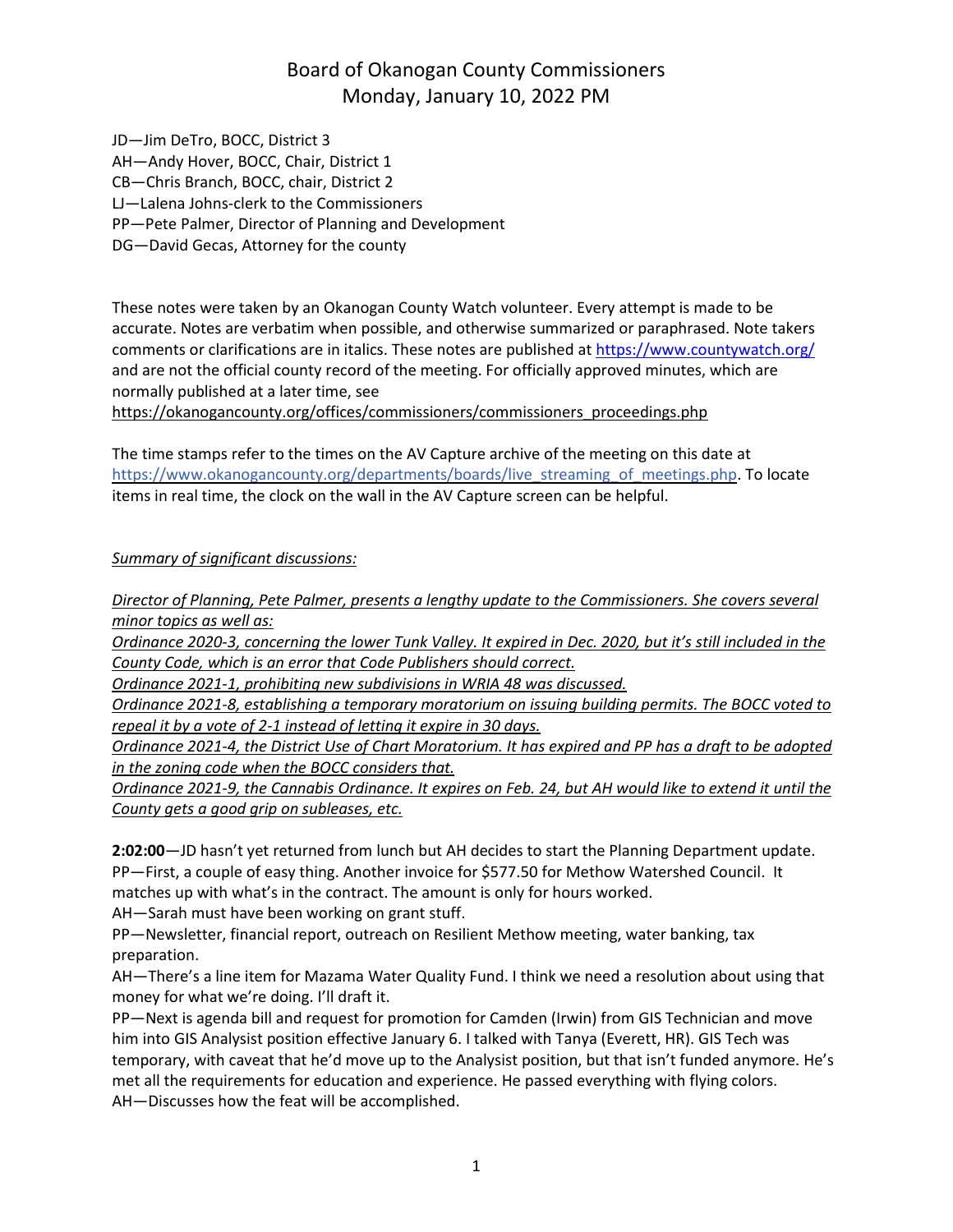JD—Jim DeTro, BOCC, District 3 AH—Andy Hover, BOCC, Chair, District 1 CB—Chris Branch, BOCC, chair, District 2 LJ—Lalena Johns-clerk to the Commissioners PP—Pete Palmer, Director of Planning and Development DG—David Gecas, Attorney for the county

These notes were taken by an Okanogan County Watch volunteer. Every attempt is made to be accurate. Notes are verbatim when possible, and otherwise summarized or paraphrased. Note takers comments or clarifications are in italics. These notes are published at <https://www.countywatch.org/> and are not the official county record of the meeting. For officially approved minutes, which are normally published at a later time, see

[https://okanogancounty.org/offices/commissioners/commissioners\\_proceedings.php](https://okanogancounty.org/offices/commissioners/commissioners_proceedings.php)

The time stamps refer to the times on the AV Capture archive of the meeting on this date at https://www.okanogancounty.org/departments/boards/live streaming of meetings.php. To locate items in real time, the clock on the wall in the AV Capture screen can be helpful.

#### *Summary of significant discussions:*

*Director of Planning, Pete Palmer, presents a lengthy update to the Commissioners. She covers several minor topics as well as:*

Ordinance 2020-3, concerning the lower Tunk Valley. It expired in Dec. 2020, but it's still included in the *County Code, which is an error that Code Publishers should correct.*

*Ordinance 2021-1, prohibiting new subdivisions in WRIA 48 was discussed.*

*Ordinance 2021-8, establishing a temporary moratorium on issuing building permits. The BOCC voted to repeal it by a vote of 2-1 instead of letting it expire in 30 days.*

Ordinance 2021-4, the District Use of Chart Moratorium. It has expired and PP has a draft to be adopted *in the zoning code when the BOCC considers that.*

Ordinance 2021-9, the Cannabis Ordinance. It expires on Feb. 24, but AH would like to extend it until the *County gets a good grip on subleases, etc.*

**2:02:00**—JD hasn't yet returned from lunch but AH decides to start the Planning Department update. PP—First, a couple of easy thing. Another invoice for \$577.50 for Methow Watershed Council. It matches up with what's in the contract. The amount is only for hours worked.

AH—Sarah must have been working on grant stuff.

PP—Newsletter, financial report, outreach on Resilient Methow meeting, water banking, tax preparation.

AH—There's a line item for Mazama Water Quality Fund. I think we need a resolution about using that money for what we're doing. I'll draft it.

PP—Next is agenda bill and request for promotion for Camden (Irwin) from GIS Technician and move him into GIS Analysist position effective January 6. I talked with Tanya (Everett, HR). GIS Tech was temporary, with caveat that he'd move up to the Analysist position, but that isn't funded anymore. He's met all the requirements for education and experience. He passed everything with flying colors. AH—Discusses how the feat will be accomplished.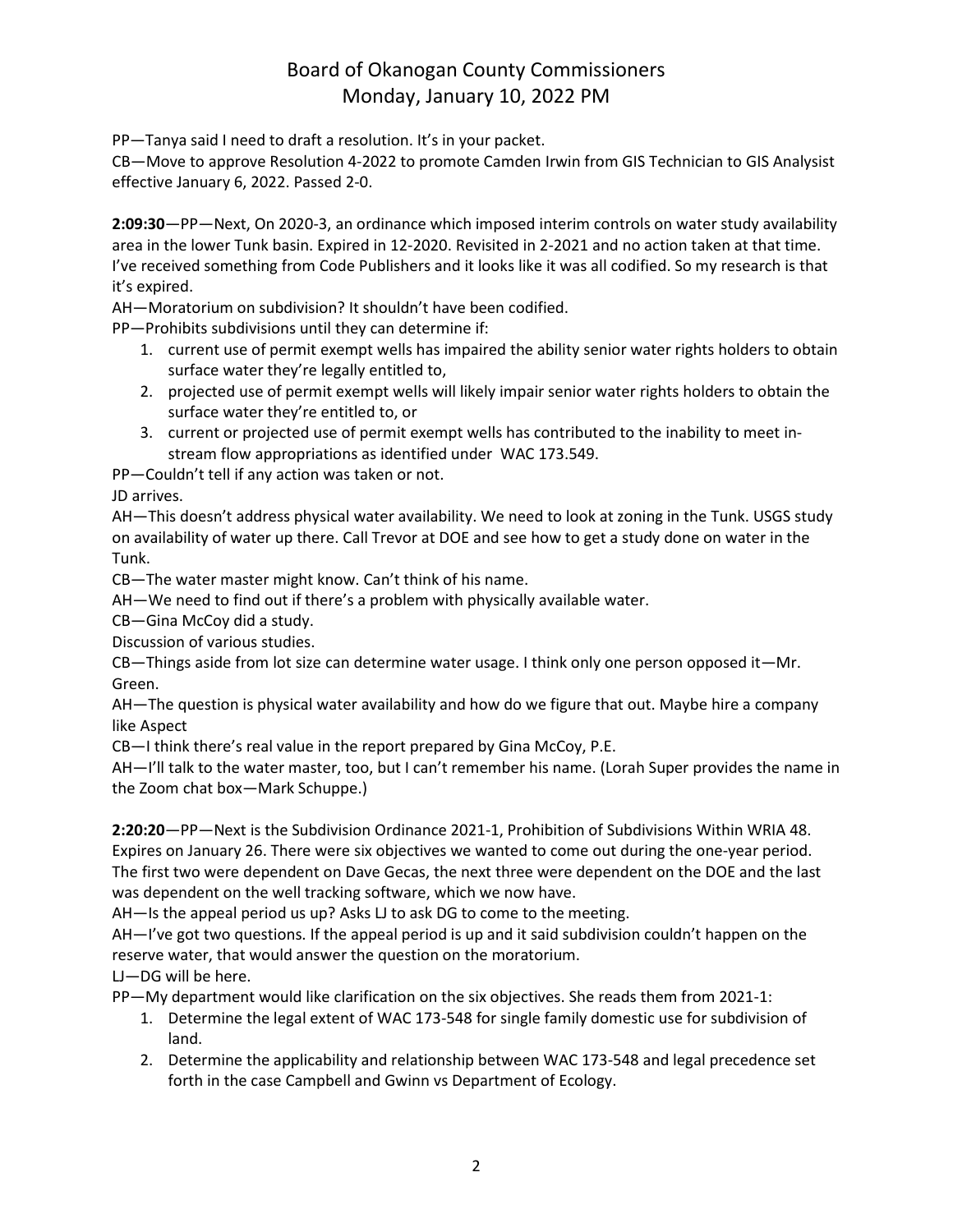PP—Tanya said I need to draft a resolution. It's in your packet.

CB—Move to approve Resolution 4-2022 to promote Camden Irwin from GIS Technician to GIS Analysist effective January 6, 2022. Passed 2-0.

**2:09:30**—PP—Next, On 2020-3, an ordinance which imposed interim controls on water study availability area in the lower Tunk basin. Expired in 12-2020. Revisited in 2-2021 and no action taken at that time. I've received something from Code Publishers and it looks like it was all codified. So my research is that it's expired.

AH—Moratorium on subdivision? It shouldn't have been codified.

PP—Prohibits subdivisions until they can determine if:

- 1. current use of permit exempt wells has impaired the ability senior water rights holders to obtain surface water they're legally entitled to,
- 2. projected use of permit exempt wells will likely impair senior water rights holders to obtain the surface water they're entitled to, or
- 3. current or projected use of permit exempt wells has contributed to the inability to meet instream flow appropriations as identified under WAC 173.549.

PP—Couldn't tell if any action was taken or not.

JD arrives.

AH—This doesn't address physical water availability. We need to look at zoning in the Tunk. USGS study on availability of water up there. Call Trevor at DOE and see how to get a study done on water in the Tunk.

CB—The water master might know. Can't think of his name.

AH—We need to find out if there's a problem with physically available water.

CB—Gina McCoy did a study.

Discussion of various studies.

CB—Things aside from lot size can determine water usage. I think only one person opposed it—Mr. Green.

AH—The question is physical water availability and how do we figure that out. Maybe hire a company like Aspect

CB—I think there's real value in the report prepared by Gina McCoy, P.E.

AH—I'll talk to the water master, too, but I can't remember his name. (Lorah Super provides the name in the Zoom chat box—Mark Schuppe.)

**2:20:20**—PP—Next is the Subdivision Ordinance 2021-1, Prohibition of Subdivisions Within WRIA 48. Expires on January 26. There were six objectives we wanted to come out during the one-year period. The first two were dependent on Dave Gecas, the next three were dependent on the DOE and the last was dependent on the well tracking software, which we now have.

AH—Is the appeal period us up? Asks LJ to ask DG to come to the meeting.

AH—I've got two questions. If the appeal period is up and it said subdivision couldn't happen on the reserve water, that would answer the question on the moratorium.

LJ—DG will be here.

PP—My department would like clarification on the six objectives. She reads them from 2021-1:

- 1. Determine the legal extent of WAC 173-548 for single family domestic use for subdivision of land.
- 2. Determine the applicability and relationship between WAC 173-548 and legal precedence set forth in the case Campbell and Gwinn vs Department of Ecology.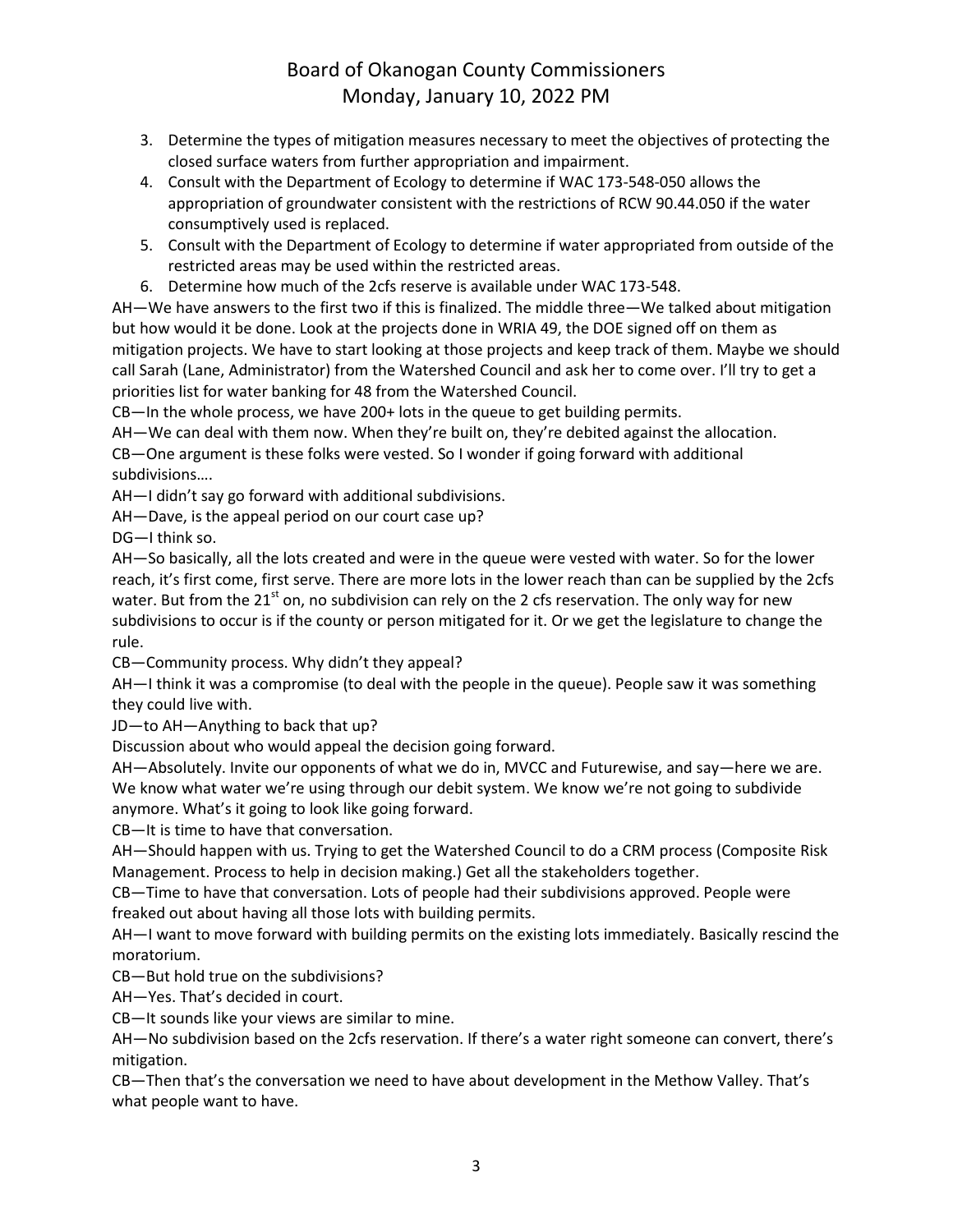- 3. Determine the types of mitigation measures necessary to meet the objectives of protecting the closed surface waters from further appropriation and impairment.
- 4. Consult with the Department of Ecology to determine if WAC 173-548-050 allows the appropriation of groundwater consistent with the restrictions of RCW 90.44.050 if the water consumptively used is replaced.
- 5. Consult with the Department of Ecology to determine if water appropriated from outside of the restricted areas may be used within the restricted areas.
- 6. Determine how much of the 2cfs reserve is available under WAC 173-548.

AH—We have answers to the first two if this is finalized. The middle three—We talked about mitigation but how would it be done. Look at the projects done in WRIA 49, the DOE signed off on them as mitigation projects. We have to start looking at those projects and keep track of them. Maybe we should call Sarah (Lane, Administrator) from the Watershed Council and ask her to come over. I'll try to get a priorities list for water banking for 48 from the Watershed Council.

CB—In the whole process, we have 200+ lots in the queue to get building permits.

AH—We can deal with them now. When they're built on, they're debited against the allocation. CB—One argument is these folks were vested. So I wonder if going forward with additional

subdivisions….

AH—I didn't say go forward with additional subdivisions.

AH—Dave, is the appeal period on our court case up?

DG—I think so.

AH—So basically, all the lots created and were in the queue were vested with water. So for the lower reach, it's first come, first serve. There are more lots in the lower reach than can be supplied by the 2cfs water. But from the 21<sup>st</sup> on, no subdivision can rely on the 2 cfs reservation. The only way for new subdivisions to occur is if the county or person mitigated for it. Or we get the legislature to change the rule.

CB—Community process. Why didn't they appeal?

AH—I think it was a compromise (to deal with the people in the queue). People saw it was something they could live with.

JD—to AH—Anything to back that up?

Discussion about who would appeal the decision going forward.

AH—Absolutely. Invite our opponents of what we do in, MVCC and Futurewise, and say—here we are. We know what water we're using through our debit system. We know we're not going to subdivide anymore. What's it going to look like going forward.

CB—It is time to have that conversation.

AH—Should happen with us. Trying to get the Watershed Council to do a CRM process (Composite Risk Management. Process to help in decision making.) Get all the stakeholders together.

CB—Time to have that conversation. Lots of people had their subdivisions approved. People were freaked out about having all those lots with building permits.

AH—I want to move forward with building permits on the existing lots immediately. Basically rescind the moratorium.

CB—But hold true on the subdivisions?

AH—Yes. That's decided in court.

CB—It sounds like your views are similar to mine.

AH—No subdivision based on the 2cfs reservation. If there's a water right someone can convert, there's mitigation.

CB—Then that's the conversation we need to have about development in the Methow Valley. That's what people want to have.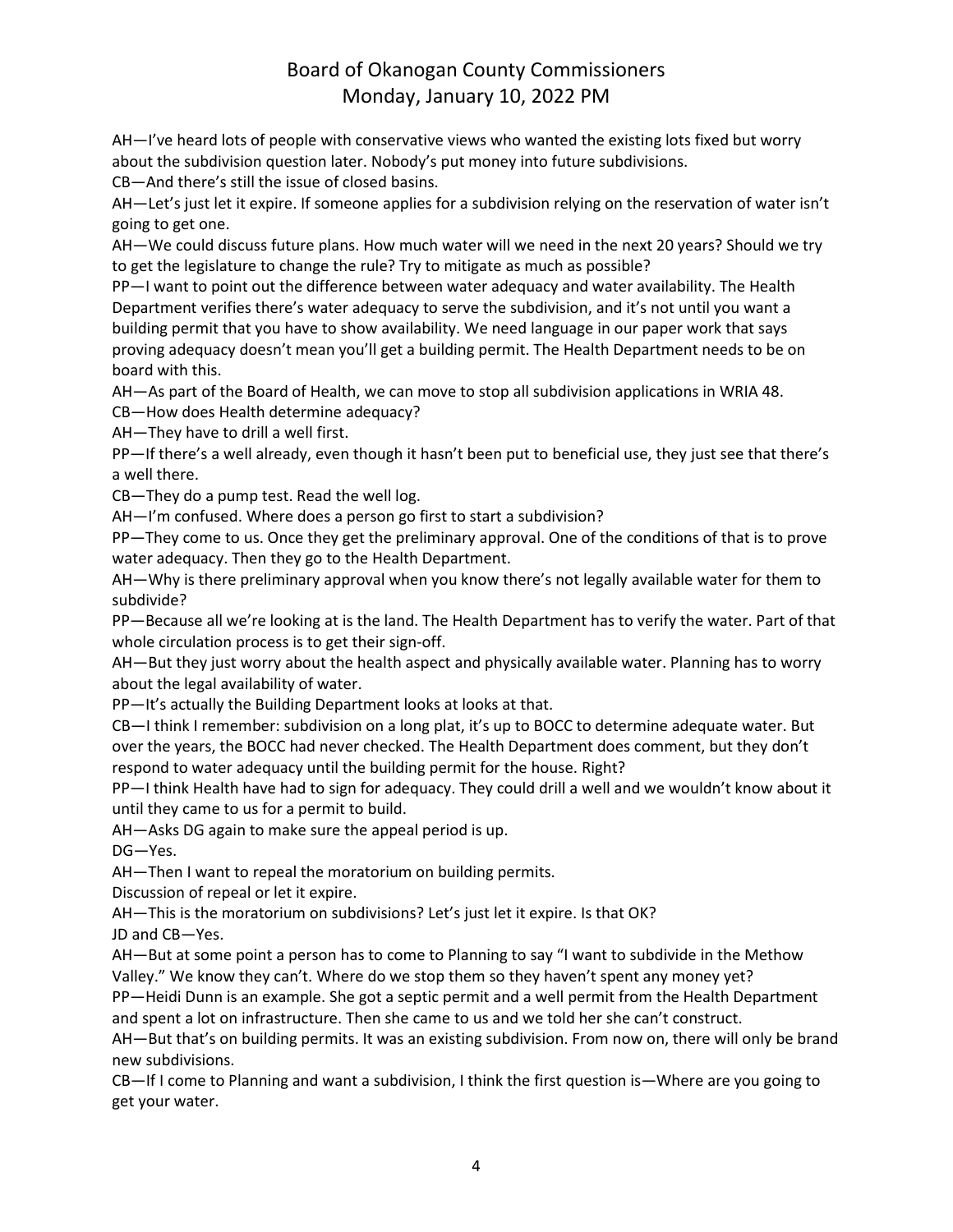AH—I've heard lots of people with conservative views who wanted the existing lots fixed but worry about the subdivision question later. Nobody's put money into future subdivisions.

CB—And there's still the issue of closed basins.

AH—Let's just let it expire. If someone applies for a subdivision relying on the reservation of water isn't going to get one.

AH—We could discuss future plans. How much water will we need in the next 20 years? Should we try to get the legislature to change the rule? Try to mitigate as much as possible?

PP—I want to point out the difference between water adequacy and water availability. The Health Department verifies there's water adequacy to serve the subdivision, and it's not until you want a building permit that you have to show availability. We need language in our paper work that says proving adequacy doesn't mean you'll get a building permit. The Health Department needs to be on board with this.

AH—As part of the Board of Health, we can move to stop all subdivision applications in WRIA 48.

CB—How does Health determine adequacy?

AH—They have to drill a well first.

PP—If there's a well already, even though it hasn't been put to beneficial use, they just see that there's a well there.

CB—They do a pump test. Read the well log.

AH—I'm confused. Where does a person go first to start a subdivision?

PP—They come to us. Once they get the preliminary approval. One of the conditions of that is to prove water adequacy. Then they go to the Health Department.

AH—Why is there preliminary approval when you know there's not legally available water for them to subdivide?

PP—Because all we're looking at is the land. The Health Department has to verify the water. Part of that whole circulation process is to get their sign-off.

AH—But they just worry about the health aspect and physically available water. Planning has to worry about the legal availability of water.

PP—It's actually the Building Department looks at looks at that.

CB—I think I remember: subdivision on a long plat, it's up to BOCC to determine adequate water. But over the years, the BOCC had never checked. The Health Department does comment, but they don't respond to water adequacy until the building permit for the house. Right?

PP—I think Health have had to sign for adequacy. They could drill a well and we wouldn't know about it until they came to us for a permit to build.

AH—Asks DG again to make sure the appeal period is up.

DG—Yes.

AH—Then I want to repeal the moratorium on building permits.

Discussion of repeal or let it expire.

AH—This is the moratorium on subdivisions? Let's just let it expire. Is that OK?

JD and CB—Yes.

AH—But at some point a person has to come to Planning to say "I want to subdivide in the Methow Valley." We know they can't. Where do we stop them so they haven't spent any money yet? PP—Heidi Dunn is an example. She got a septic permit and a well permit from the Health Department

and spent a lot on infrastructure. Then she came to us and we told her she can't construct.

AH—But that's on building permits. It was an existing subdivision. From now on, there will only be brand new subdivisions.

CB—If I come to Planning and want a subdivision, I think the first question is—Where are you going to get your water.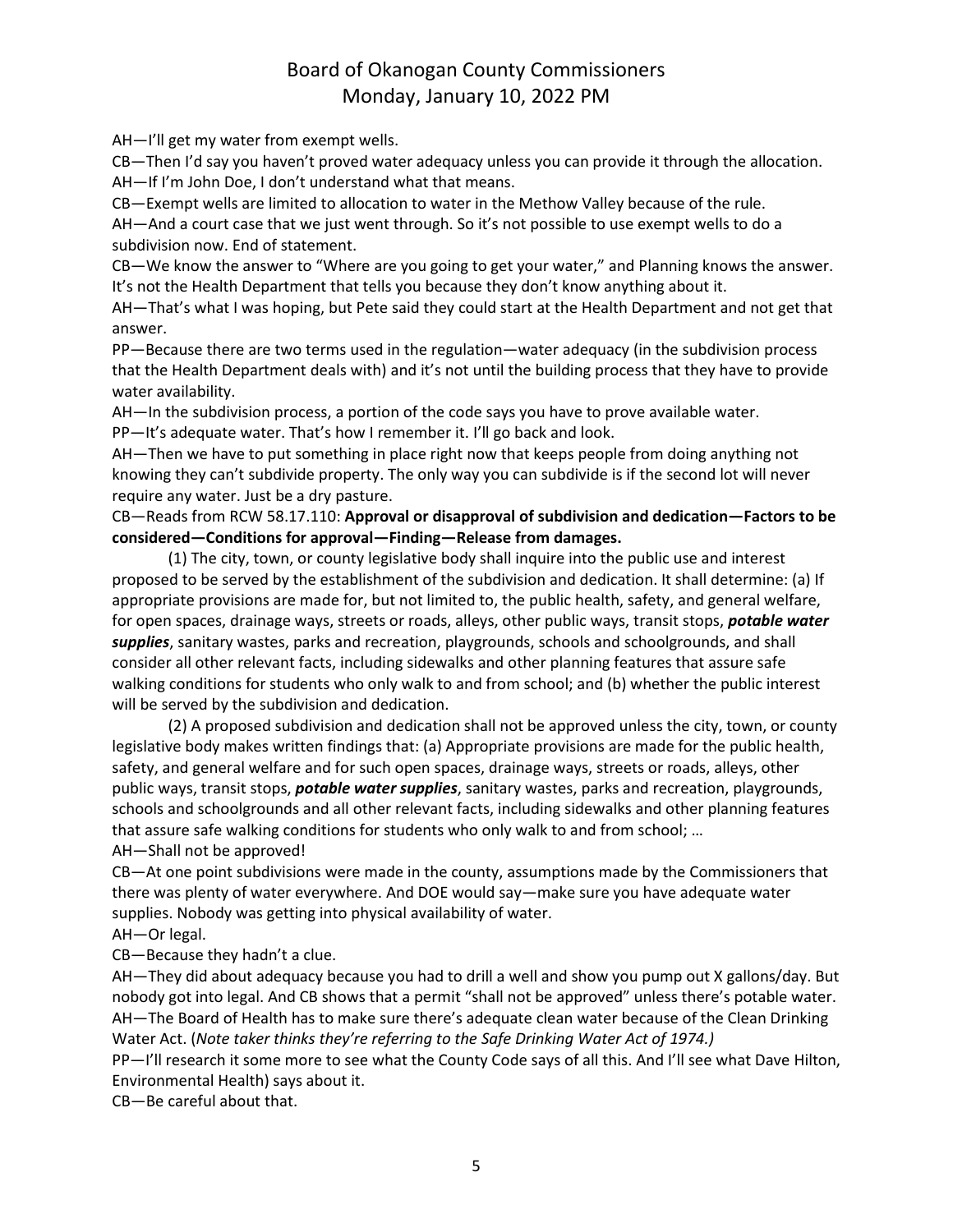AH—I'll get my water from exempt wells.

CB—Then I'd say you haven't proved water adequacy unless you can provide it through the allocation. AH—If I'm John Doe, I don't understand what that means.

CB—Exempt wells are limited to allocation to water in the Methow Valley because of the rule.

AH—And a court case that we just went through. So it's not possible to use exempt wells to do a subdivision now. End of statement.

CB—We know the answer to "Where are you going to get your water," and Planning knows the answer. It's not the Health Department that tells you because they don't know anything about it.

AH—That's what I was hoping, but Pete said they could start at the Health Department and not get that answer.

PP—Because there are two terms used in the regulation—water adequacy (in the subdivision process that the Health Department deals with) and it's not until the building process that they have to provide water availability.

AH—In the subdivision process, a portion of the code says you have to prove available water.

PP—It's adequate water. That's how I remember it. I'll go back and look.

AH—Then we have to put something in place right now that keeps people from doing anything not knowing they can't subdivide property. The only way you can subdivide is if the second lot will never require any water. Just be a dry pasture.

CB—Reads from RCW 58.17.110: **Approval or disapproval of subdivision and dedication—Factors to be considered—Conditions for approval—Finding—Release from damages.**

(1) The city, town, or county legislative body shall inquire into the public use and interest proposed to be served by the establishment of the subdivision and dedication. It shall determine: (a) If appropriate provisions are made for, but not limited to, the public health, safety, and general welfare, for open spaces, drainage ways, streets or roads, alleys, other public ways, transit stops, *potable water*  supplies, sanitary wastes, parks and recreation, playgrounds, schools and schoolgrounds, and shall consider all other relevant facts, including sidewalks and other planning features that assure safe walking conditions for students who only walk to and from school; and (b) whether the public interest will be served by the subdivision and dedication.

(2) A proposed subdivision and dedication shall not be approved unless the city, town, or county legislative body makes written findings that: (a) Appropriate provisions are made for the public health, safety, and general welfare and for such open spaces, drainage ways, streets or roads, alleys, other public ways, transit stops, *potable water supplies*, sanitary wastes, parks and recreation, playgrounds, schools and schoolgrounds and all other relevant facts, including sidewalks and other planning features that assure safe walking conditions for students who only walk to and from school; …

AH—Shall not be approved!

CB—At one point subdivisions were made in the county, assumptions made by the Commissioners that there was plenty of water everywhere. And DOE would say—make sure you have adequate water supplies. Nobody was getting into physical availability of water.

AH—Or legal.

CB—Because they hadn't a clue.

AH—They did about adequacy because you had to drill a well and show you pump out X gallons/day. But nobody got into legal. And CB shows that a permit "shall not be approved" unless there's potable water. AH—The Board of Health has to make sure there's adequate clean water because of the Clean Drinking Water Act. (*Note taker thinks they're referring to the Safe Drinking Water Act of 1974.)*

PP—I'll research it some more to see what the County Code says of all this. And I'll see what Dave Hilton, Environmental Health) says about it.

CB—Be careful about that.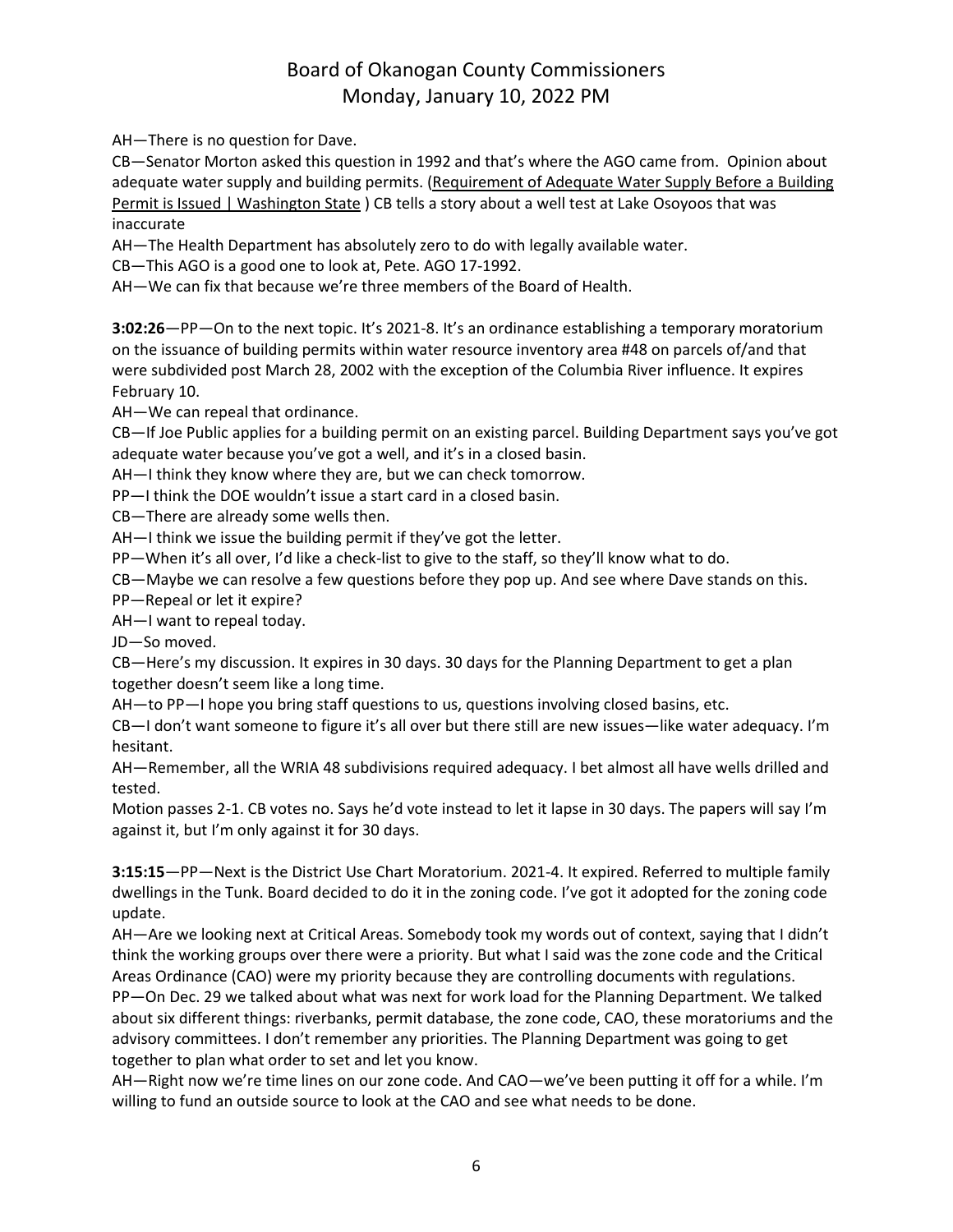AH—There is no question for Dave.

CB—Senator Morton asked this question in 1992 and that's where the AGO came from. Opinion about adequate water supply and building permits. [\(Requirement](https://www.atg.wa.gov/ago-opinions/requirement-adequate-water-supply-building-permit-issued) of Adequate Water Supply Before a Building Permit is Issued | [Washington](https://www.atg.wa.gov/ago-opinions/requirement-adequate-water-supply-building-permit-issued) State ) CB tells a story about a well test at Lake Osoyoos that was inaccurate

AH—The Health Department has absolutely zero to do with legally available water.

CB—This AGO is a good one to look at, Pete. AGO 17-1992.

AH—We can fix that because we're three members of the Board of Health.

**3:02:26**—PP—On to the next topic. It's 2021-8. It's an ordinance establishing a temporary moratorium on the issuance of building permits within water resource inventory area #48 on parcels of/and that were subdivided post March 28, 2002 with the exception of the Columbia River influence. It expires February 10.

AH—We can repeal that ordinance.

CB—If Joe Public applies for a building permit on an existing parcel. Building Department says you've got adequate water because you've got a well, and it's in a closed basin.

AH—I think they know where they are, but we can check tomorrow.

PP—I think the DOE wouldn't issue a start card in a closed basin.

CB—There are already some wells then.

AH—I think we issue the building permit if they've got the letter.

PP—When it's all over, I'd like a check-list to give to the staff, so they'll know what to do.

CB—Maybe we can resolve a few questions before they pop up. And see where Dave stands on this.

PP—Repeal or let it expire?

AH—I want to repeal today.

JD—So moved.

CB—Here's my discussion. It expires in 30 days. 30 days for the Planning Department to get a plan together doesn't seem like a long time.

AH—to PP—I hope you bring staff questions to us, questions involving closed basins, etc.

CB—I don't want someone to figure it's all over but there still are new issues—like water adequacy. I'm hesitant.

AH—Remember, all the WRIA 48 subdivisions required adequacy. I bet almost all have wells drilled and tested.

Motion passes 2-1. CB votes no. Says he'd vote instead to let it lapse in 30 days. The papers will say I'm against it, but I'm only against it for 30 days.

**3:15:15**—PP—Next is the District Use Chart Moratorium. 2021-4. It expired. Referred to multiple family dwellings in the Tunk. Board decided to do it in the zoning code. I've got it adopted for the zoning code update.

AH—Are we looking next at Critical Areas. Somebody took my words out of context, saying that I didn't think the working groups over there were a priority. But what I said was the zone code and the Critical Areas Ordinance (CAO) were my priority because they are controlling documents with regulations. PP—On Dec. 29 we talked about what was next for work load for the Planning Department. We talked about six different things: riverbanks, permit database, the zone code, CAO, these moratoriums and the advisory committees. I don't remember any priorities. The Planning Department was going to get together to plan what order to set and let you know.

AH—Right now we're time lines on our zone code. And CAO—we've been putting it off for a while. I'm willing to fund an outside source to look at the CAO and see what needs to be done.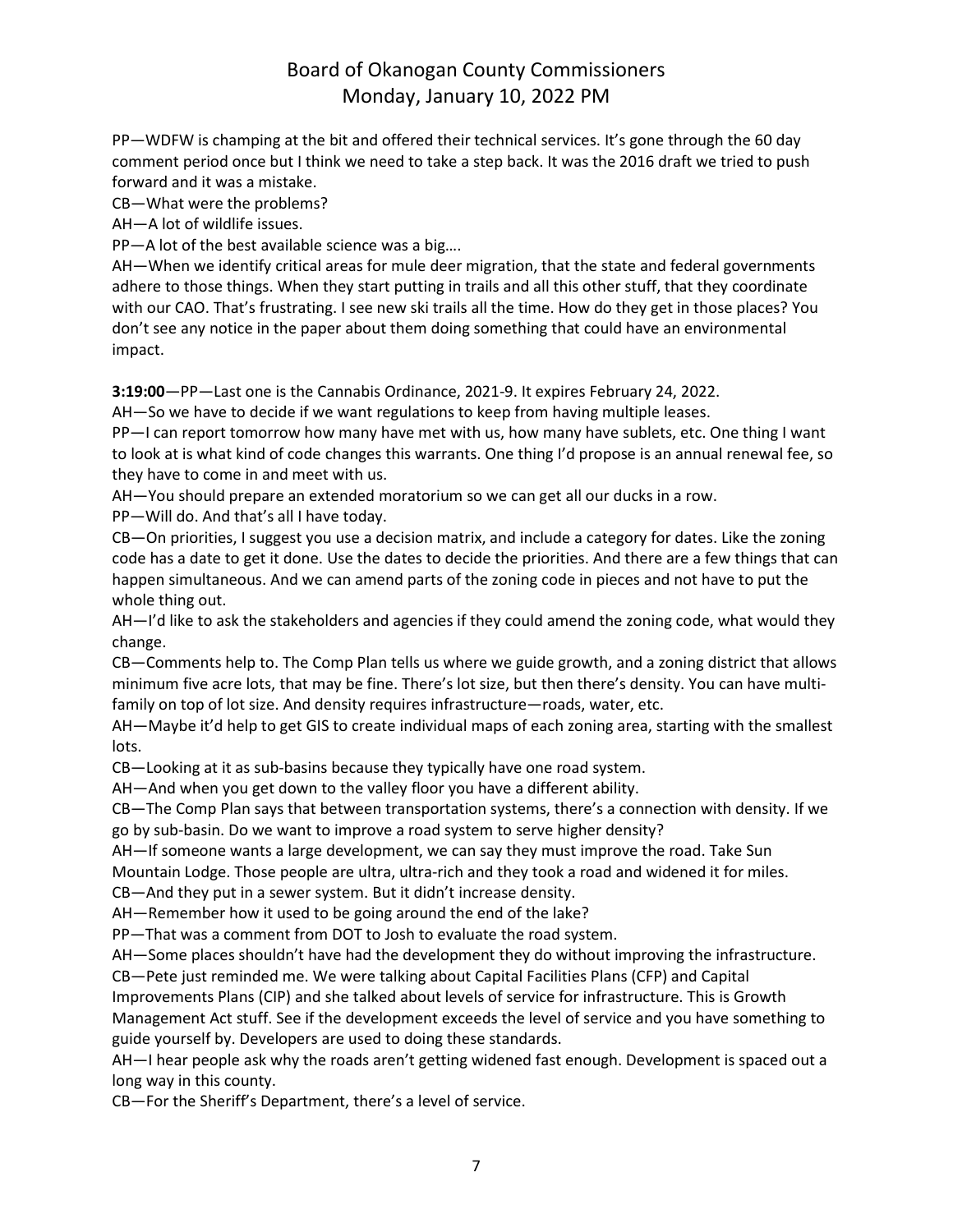PP—WDFW is champing at the bit and offered their technical services. It's gone through the 60 day comment period once but I think we need to take a step back. It was the 2016 draft we tried to push forward and it was a mistake.

CB—What were the problems?

AH—A lot of wildlife issues.

PP—A lot of the best available science was a big….

AH—When we identify critical areas for mule deer migration, that the state and federal governments adhere to those things. When they start putting in trails and all this other stuff, that they coordinate with our CAO. That's frustrating. I see new ski trails all the time. How do they get in those places? You don't see any notice in the paper about them doing something that could have an environmental impact.

**3:19:00**—PP—Last one is the Cannabis Ordinance, 2021-9. It expires February 24, 2022.

AH—So we have to decide if we want regulations to keep from having multiple leases.

PP—I can report tomorrow how many have met with us, how many have sublets, etc. One thing I want to look at is what kind of code changes this warrants. One thing I'd propose is an annual renewal fee, so they have to come in and meet with us.

AH—You should prepare an extended moratorium so we can get all our ducks in a row.

PP—Will do. And that's all I have today.

CB—On priorities, I suggest you use a decision matrix, and include a category for dates. Like the zoning code has a date to get it done. Use the dates to decide the priorities. And there are a few things that can happen simultaneous. And we can amend parts of the zoning code in pieces and not have to put the whole thing out.

AH—I'd like to ask the stakeholders and agencies if they could amend the zoning code, what would they change.

CB—Comments help to. The Comp Plan tells us where we guide growth, and a zoning district that allows minimum five acre lots, that may be fine. There's lot size, but then there's density. You can have multifamily on top of lot size. And density requires infrastructure—roads, water, etc.

AH—Maybe it'd help to get GIS to create individual maps of each zoning area, starting with the smallest lots.

CB—Looking at it as sub-basins because they typically have one road system.

AH—And when you get down to the valley floor you have a different ability.

CB—The Comp Plan says that between transportation systems, there's a connection with density. If we go by sub-basin. Do we want to improve a road system to serve higher density?

AH—If someone wants a large development, we can say they must improve the road. Take Sun

Mountain Lodge. Those people are ultra, ultra-rich and they took a road and widened it for miles.

CB—And they put in a sewer system. But it didn't increase density.

AH—Remember how it used to be going around the end of the lake?

PP—That was a comment from DOT to Josh to evaluate the road system.

AH—Some places shouldn't have had the development they do without improving the infrastructure.

CB—Pete just reminded me. We were talking about Capital Facilities Plans (CFP) and Capital Improvements Plans (CIP) and she talked about levels of service for infrastructure. This is Growth Management Act stuff. See if the development exceeds the level of service and you have something to guide yourself by. Developers are used to doing these standards.

AH—I hear people ask why the roads aren't getting widened fast enough. Development is spaced out a long way in this county.

CB—For the Sheriff's Department, there's a level of service.